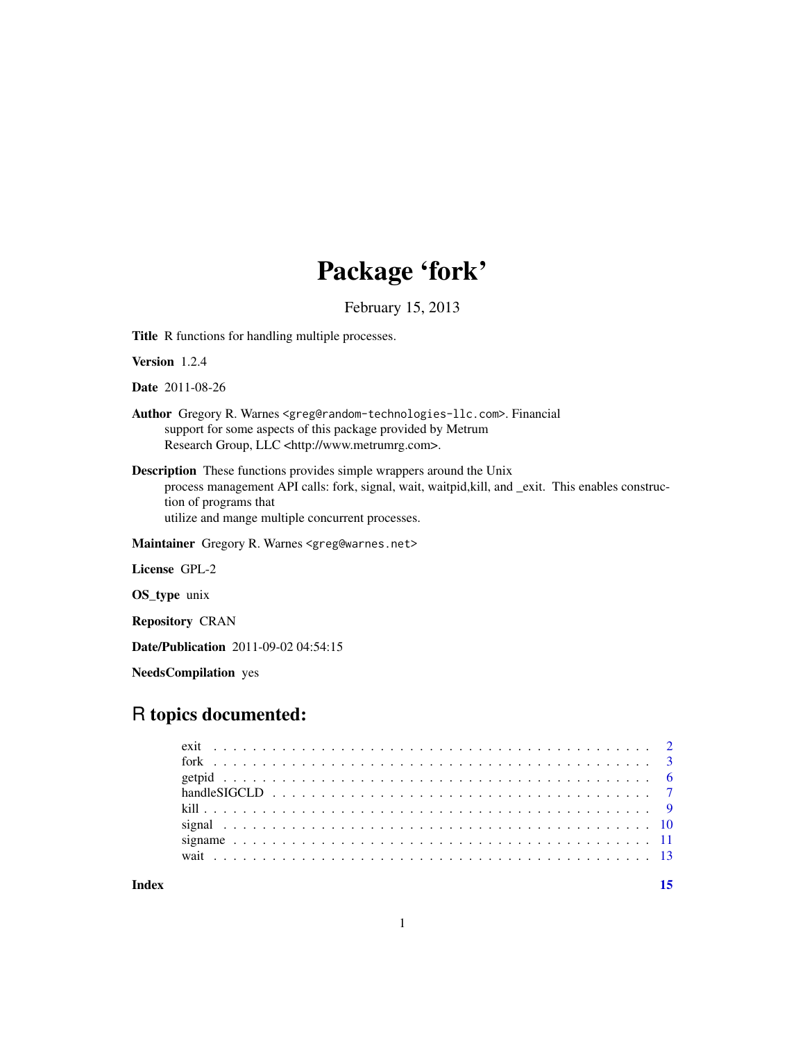## Package 'fork'

February 15, 2013

Title R functions for handling multiple processes.

Version 1.2.4

Date 2011-08-26

- Author Gregory R. Warnes <greg@random-technologies-llc.com>. Financial support for some aspects of this package provided by Metrum Research Group, LLC <http://www.metrumrg.com>.
- Description These functions provides simple wrappers around the Unix process management API calls: fork, signal, wait, waitpid,kill, and \_exit. This enables construction of programs that utilize and mange multiple concurrent processes.

Maintainer Gregory R. Warnes <greg@warnes.net>

License GPL-2

OS\_type unix

Repository CRAN

Date/Publication 2011-09-02 04:54:15

NeedsCompilation yes

### R topics documented:

**Index** [15](#page-14-0)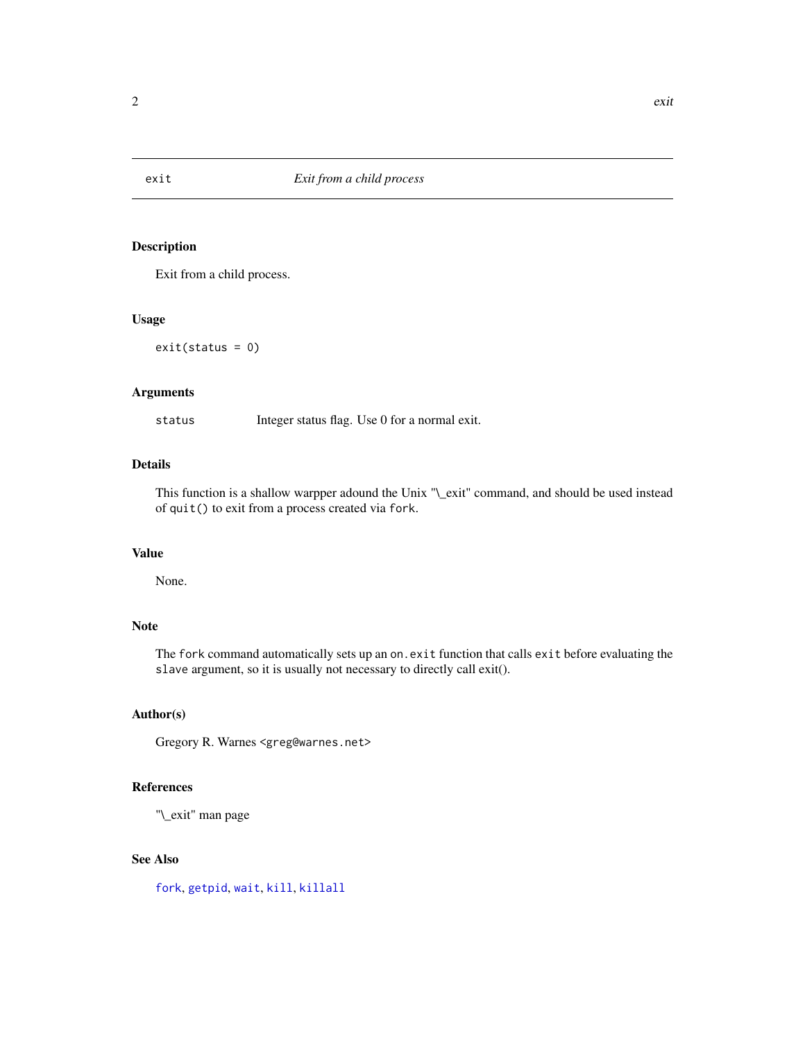<span id="page-1-1"></span><span id="page-1-0"></span>

#### Description

Exit from a child process.

#### Usage

 $exit(status = 0)$ 

#### Arguments

status Integer status flag. Use 0 for a normal exit.

#### Details

This function is a shallow warpper adound the Unix "\\_exit" command, and should be used instead of quit() to exit from a process created via fork.

#### Value

None.

#### Note

The fork command automatically sets up an on.exit function that calls exit before evaluating the slave argument, so it is usually not necessary to directly call exit().

#### Author(s)

Gregory R. Warnes <greg@warnes.net>

#### References

"\\_exit" man page

#### See Also

[fork](#page-2-1), [getpid](#page-5-1), [wait](#page-12-1), [kill](#page-8-1), [killall](#page-8-2)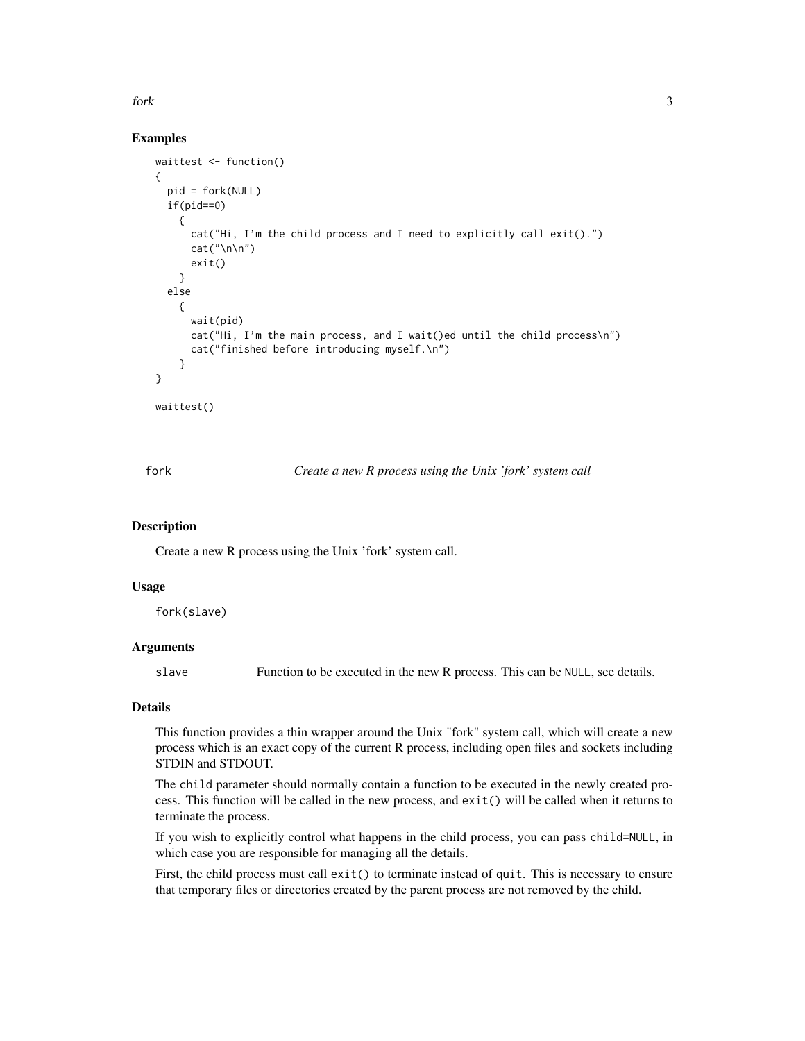<span id="page-2-0"></span>for k and the state of  $\sim$  3

#### Examples

```
waittest <- function()
{
 pid = fork(NULL)
 if(pid==0)
    {
      cat("Hi, I'm the child process and I need to explicitly call exit().")
      cat("\n\n\{n\}n")exit()
    }
 else
    {
      wait(pid)
      cat("Hi, I'm the main process, and I wait()ed until the child process\n")
      cat("finished before introducing myself.\n")
    }
}
waittest()
```
<span id="page-2-1"></span>fork *Create a new R process using the Unix 'fork' system call*

#### Description

Create a new R process using the Unix 'fork' system call.

#### Usage

fork(slave)

#### Arguments

slave Function to be executed in the new R process. This can be NULL, see details.

#### Details

This function provides a thin wrapper around the Unix "fork" system call, which will create a new process which is an exact copy of the current R process, including open files and sockets including STDIN and STDOUT.

The child parameter should normally contain a function to be executed in the newly created process. This function will be called in the new process, and exit() will be called when it returns to terminate the process.

If you wish to explicitly control what happens in the child process, you can pass child=NULL, in which case you are responsible for managing all the details.

First, the child process must call  $exit()$  to terminate instead of quit. This is necessary to ensure that temporary files or directories created by the parent process are not removed by the child.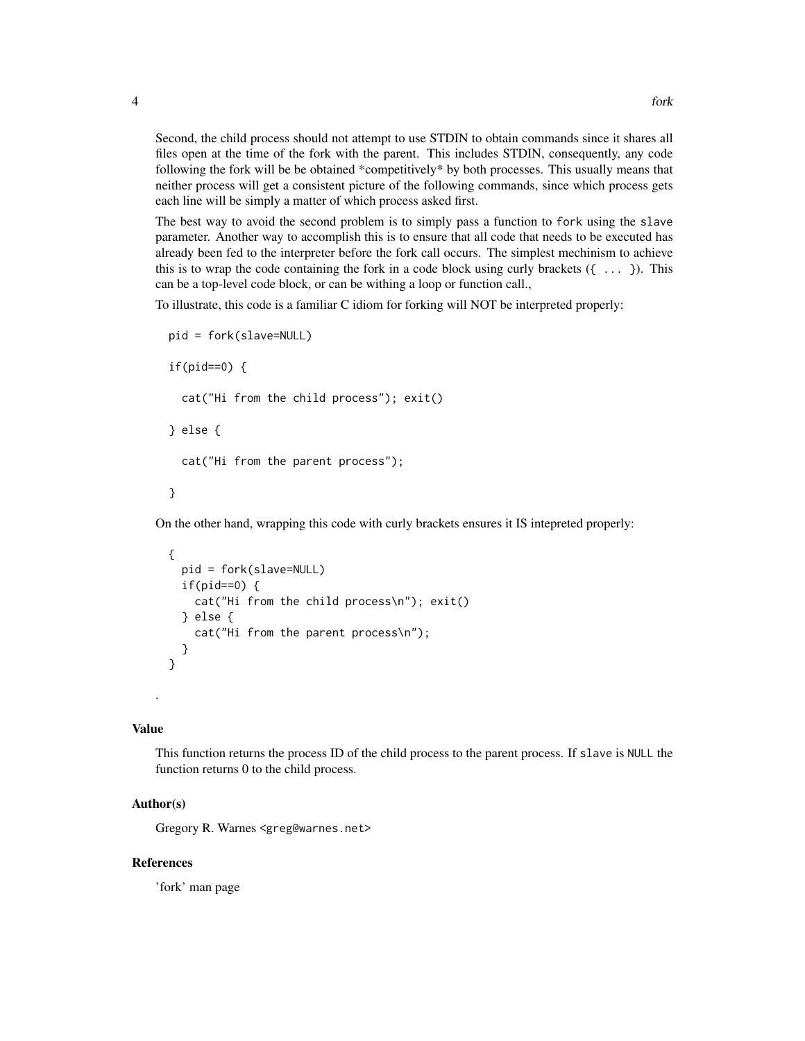Second, the child process should not attempt to use STDIN to obtain commands since it shares all files open at the time of the fork with the parent. This includes STDIN, consequently, any code following the fork will be be obtained \*competitively\* by both processes. This usually means that neither process will get a consistent picture of the following commands, since which process gets each line will be simply a matter of which process asked first.

The best way to avoid the second problem is to simply pass a function to fork using the slave parameter. Another way to accomplish this is to ensure that all code that needs to be executed has already been fed to the interpreter before the fork call occurs. The simplest mechinism to achieve this is to wrap the code containing the fork in a code block using curly brackets  $({\ldots})$ . This can be a top-level code block, or can be withing a loop or function call.,

To illustrate, this code is a familiar C idiom for forking will NOT be interpreted properly:

```
pid = fork(slave=NULL)
if(pid==0) {
  cat("Hi from the child process"); exit()
} else {
  cat("Hi from the parent process");
}
```
On the other hand, wrapping this code with curly brackets ensures it IS intepreted properly:

```
{
  pid = fork(slave=NULL)
  if(pid==0) {
    cat("Hi from the child process\n"); exit()
  } else {
    cat("Hi from the parent process\n");
  }
}
```
#### Value

.

This function returns the process ID of the child process to the parent process. If slave is NULL the function returns 0 to the child process.

#### Author(s)

Gregory R. Warnes <greg@warnes.net>

#### References

'fork' man page

4 fork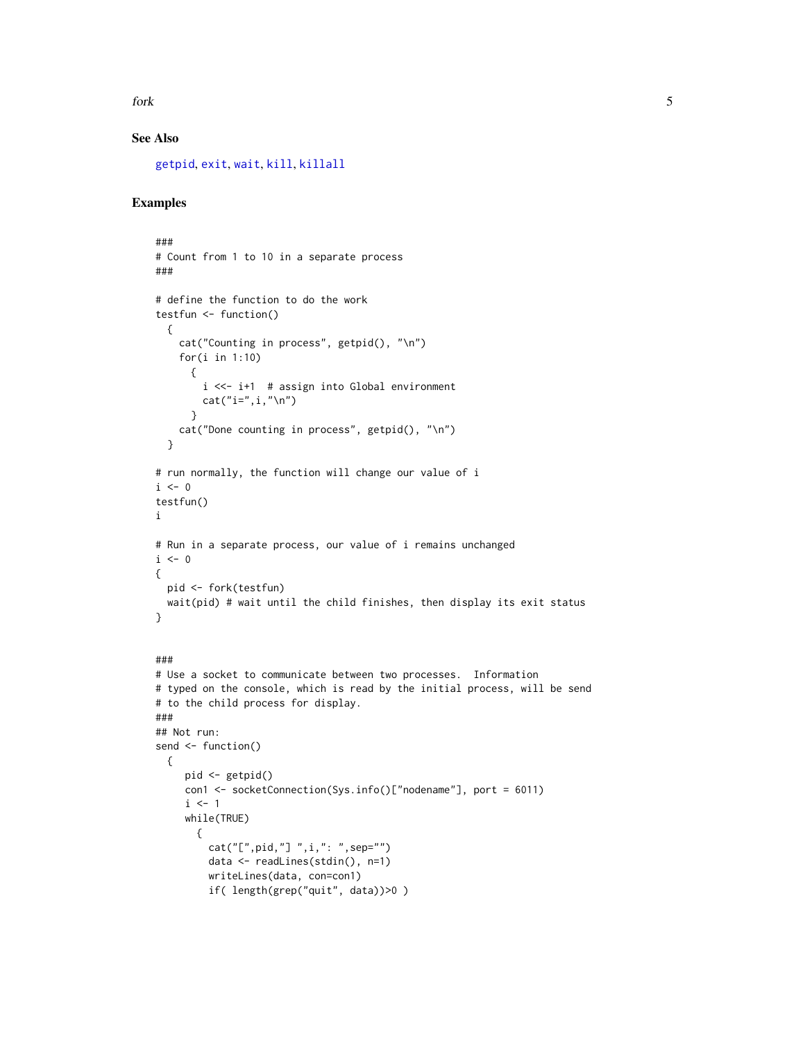<span id="page-4-0"></span>for k to the state of the state of the state of the state of the state of the state of the state of the state of the state of the state of the state of the state of the state of the state of the state of the state of the s

#### See Also

[getpid](#page-5-1), [exit](#page-1-1), [wait](#page-12-1), [kill](#page-8-1), [killall](#page-8-2)

#### Examples

```
###
# Count from 1 to 10 in a separate process
###
# define the function to do the work
testfun <- function()
 {
    cat("Counting in process", getpid(), "\n")
    for(i in 1:10)
     {
        i <<- i+1 # assign into Global environment
       cat("i="1", i, "\\n")}
    cat("Done counting in process", getpid(), "\n")
  }
# run normally, the function will change our value of i
i \leq 0testfun()
i
# Run in a separate process, our value of i remains unchanged
i \leq 0{
 pid <- fork(testfun)
  wait(pid) # wait until the child finishes, then display its exit status
}
###
# Use a socket to communicate between two processes. Information
# typed on the console, which is read by the initial process, will be send
# to the child process for display.
###
## Not run:
send <- function()
  {
     pid <- getpid()
    con1 <- socketConnection(Sys.info()["nodename"], port = 6011)
     i \leq 1while(TRUE)
       {
         cat("[",pid,"] ",i,": ",sep="")
         data <- readLines(stdin(), n=1)
         writeLines(data, con=con1)
         if( length(grep("quit", data))>0 )
```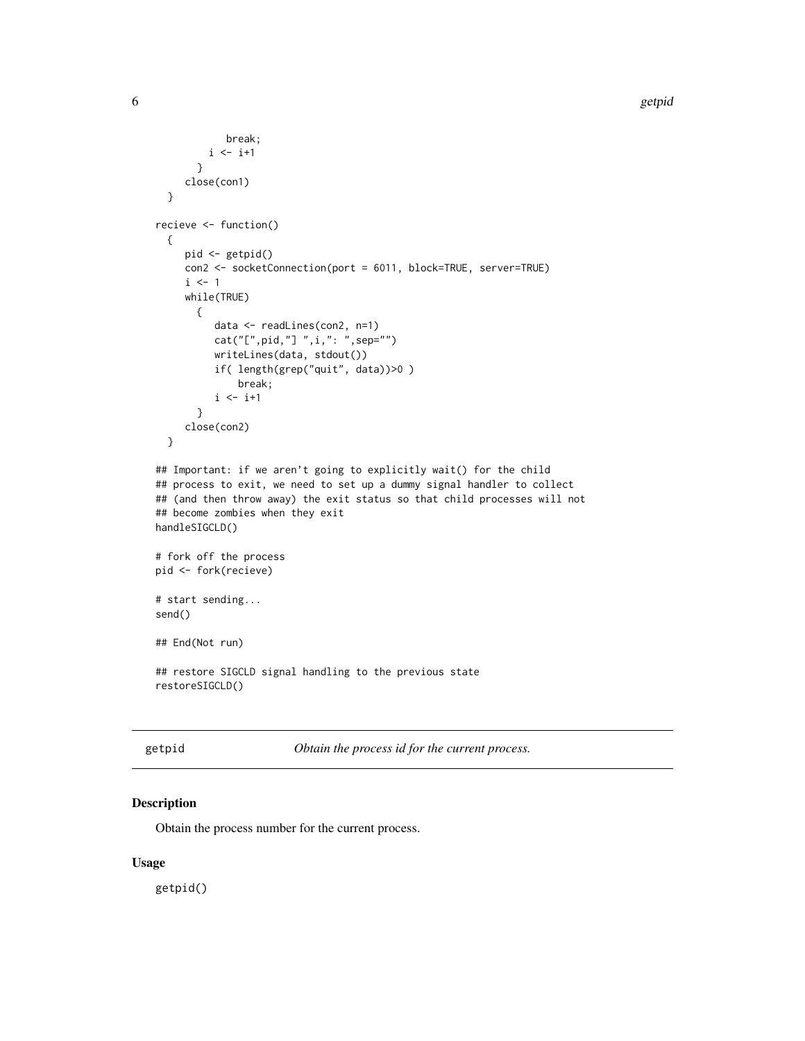```
break;
        i \le -i+1}
     close(con1)
 }
recieve <- function()
 {
    pid <- getpid()
    con2 <- socketConnection(port = 6011, block=TRUE, server=TRUE)
     i \leq 1while(TRUE)
      {
          data <- readLines(con2, n=1)
          cat("[",pid,"] ",i,": ",sep="")
          writeLines(data, stdout())
          if( length(grep("quit", data))>0 )
              break;
          i \leftarrow i+1}
     close(con2)
 }
## Important: if we aren't going to explicitly wait() for the child
## process to exit, we need to set up a dummy signal handler to collect
## (and then throw away) the exit status so that child processes will not
## become zombies when they exit
handleSIGCLD()
# fork off the process
pid <- fork(recieve)
# start sending...
send()
## End(Not run)
## restore SIGCLD signal handling to the previous state
restoreSIGCLD()
```
<span id="page-5-1"></span>getpid *Obtain the process id for the current process.*

#### Description

Obtain the process number for the current process.

#### Usage

getpid()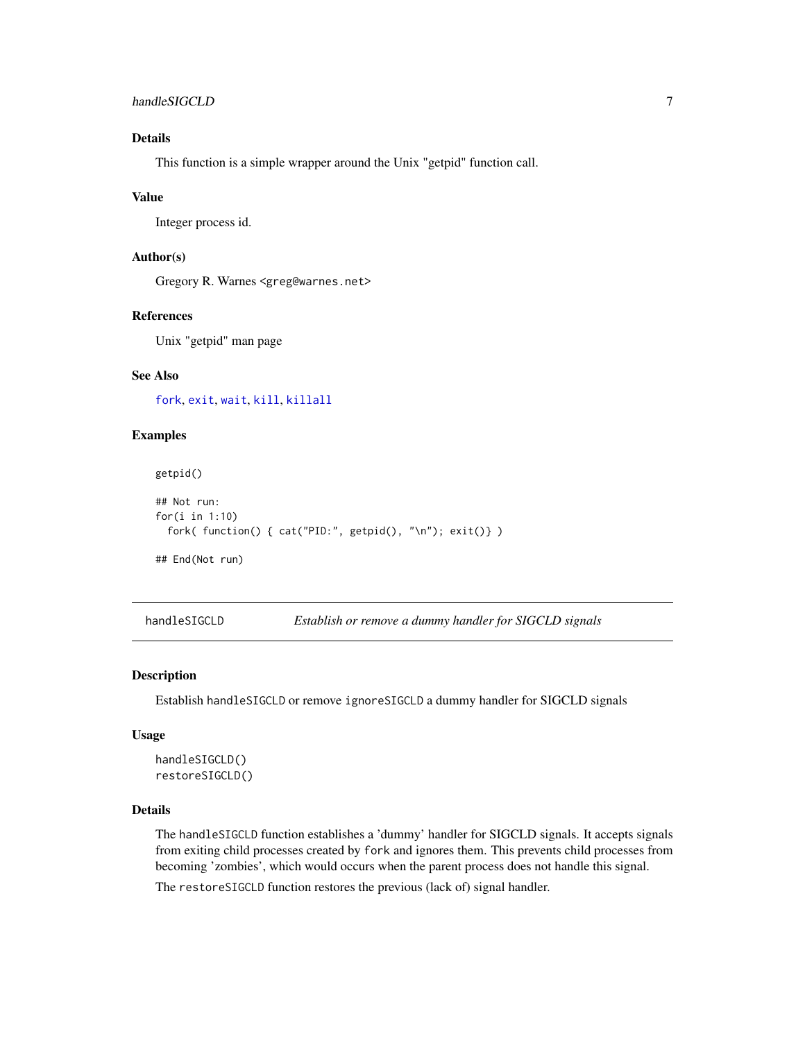#### <span id="page-6-0"></span>handleSIGCLD 7

#### Details

This function is a simple wrapper around the Unix "getpid" function call.

#### Value

Integer process id.

#### Author(s)

Gregory R. Warnes <greg@warnes.net>

#### References

Unix "getpid" man page

#### See Also

[fork](#page-2-1), [exit](#page-1-1), [wait](#page-12-1), [kill](#page-8-1), [killall](#page-8-2)

#### Examples

getpid()

```
## Not run:
for(i in 1:10)
 fork( function() { cat("PID:", getpid(), "\n"); exit()} )
```
## End(Not run)

<span id="page-6-1"></span>handleSIGCLD *Establish or remove a dummy handler for SIGCLD signals*

#### Description

Establish handleSIGCLD or remove ignoreSIGCLD a dummy handler for SIGCLD signals

#### Usage

```
handleSIGCLD()
restoreSIGCLD()
```
#### Details

The handleSIGCLD function establishes a 'dummy' handler for SIGCLD signals. It accepts signals from exiting child processes created by fork and ignores them. This prevents child processes from becoming 'zombies', which would occurs when the parent process does not handle this signal.

The restoreSIGCLD function restores the previous (lack of) signal handler.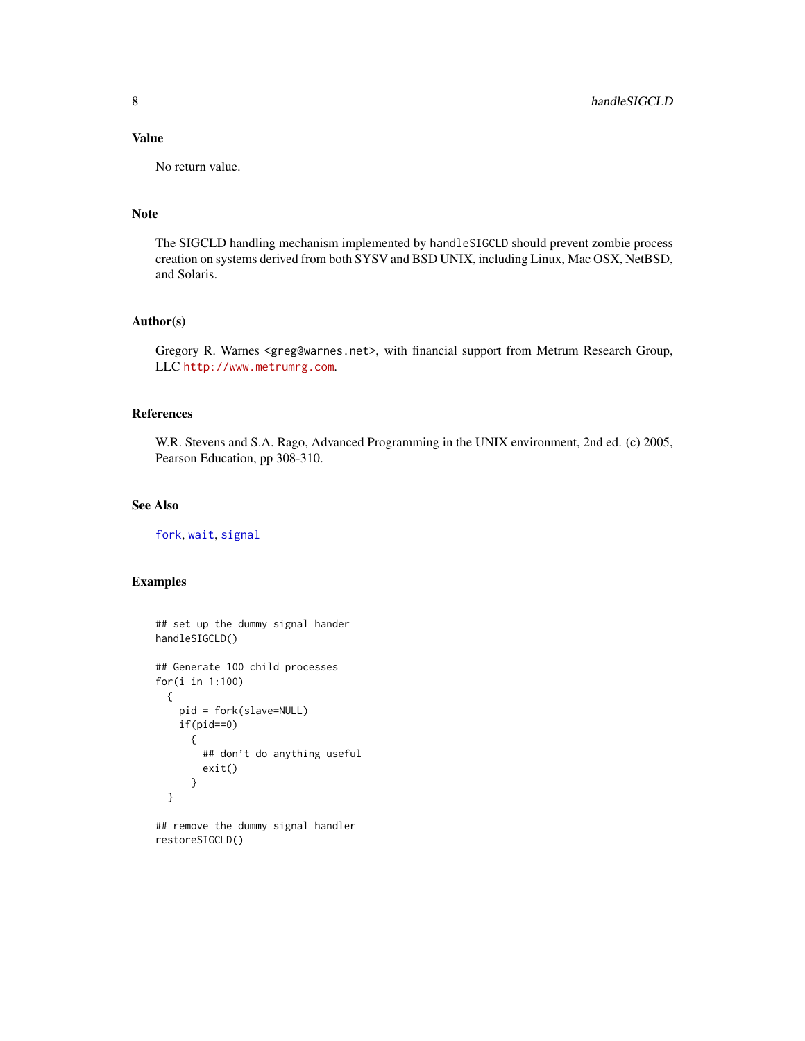#### <span id="page-7-0"></span>Value

No return value.

#### Note

The SIGCLD handling mechanism implemented by handleSIGCLD should prevent zombie process creation on systems derived from both SYSV and BSD UNIX, including Linux, Mac OSX, NetBSD, and Solaris.

#### Author(s)

Gregory R. Warnes <greg@warnes.net>, with financial support from Metrum Research Group, LLC <http://www.metrumrg.com>.

#### References

W.R. Stevens and S.A. Rago, Advanced Programming in the UNIX environment, 2nd ed. (c) 2005, Pearson Education, pp 308-310.

#### See Also

[fork](#page-2-1), [wait](#page-12-1), [signal](#page-9-1)

#### Examples

```
## set up the dummy signal hander
handleSIGCLD()
## Generate 100 child processes
for(i in 1:100)
 {
   pid = fork(slave=NULL)
   if(pid==0)
      {
        ## don't do anything useful
       exit()
      }
 }
```
## remove the dummy signal handler restoreSIGCLD()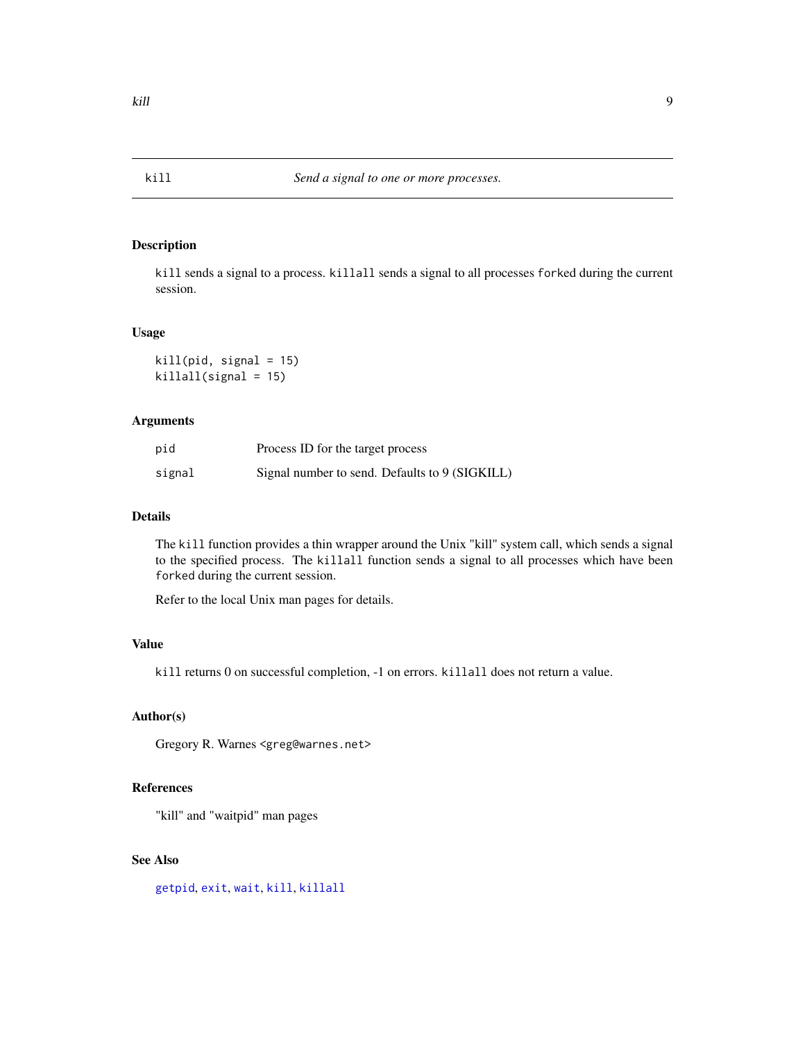#### <span id="page-8-2"></span><span id="page-8-1"></span><span id="page-8-0"></span>Description

kill sends a signal to a process. killall sends a signal to all processes forked during the current session.

#### Usage

 $kill(pid, signal = 15)$ killall(signal = 15)

#### Arguments

| pid    | Process ID for the target process              |
|--------|------------------------------------------------|
| signal | Signal number to send. Defaults to 9 (SIGKILL) |

#### Details

The kill function provides a thin wrapper around the Unix "kill" system call, which sends a signal to the specified process. The killall function sends a signal to all processes which have been forked during the current session.

Refer to the local Unix man pages for details.

#### Value

kill returns 0 on successful completion, -1 on errors. killall does not return a value.

#### Author(s)

Gregory R. Warnes <greg@warnes.net>

#### References

"kill" and "waitpid" man pages

#### See Also

[getpid](#page-5-1), [exit](#page-1-1), [wait](#page-12-1), [kill](#page-8-1), [killall](#page-8-2)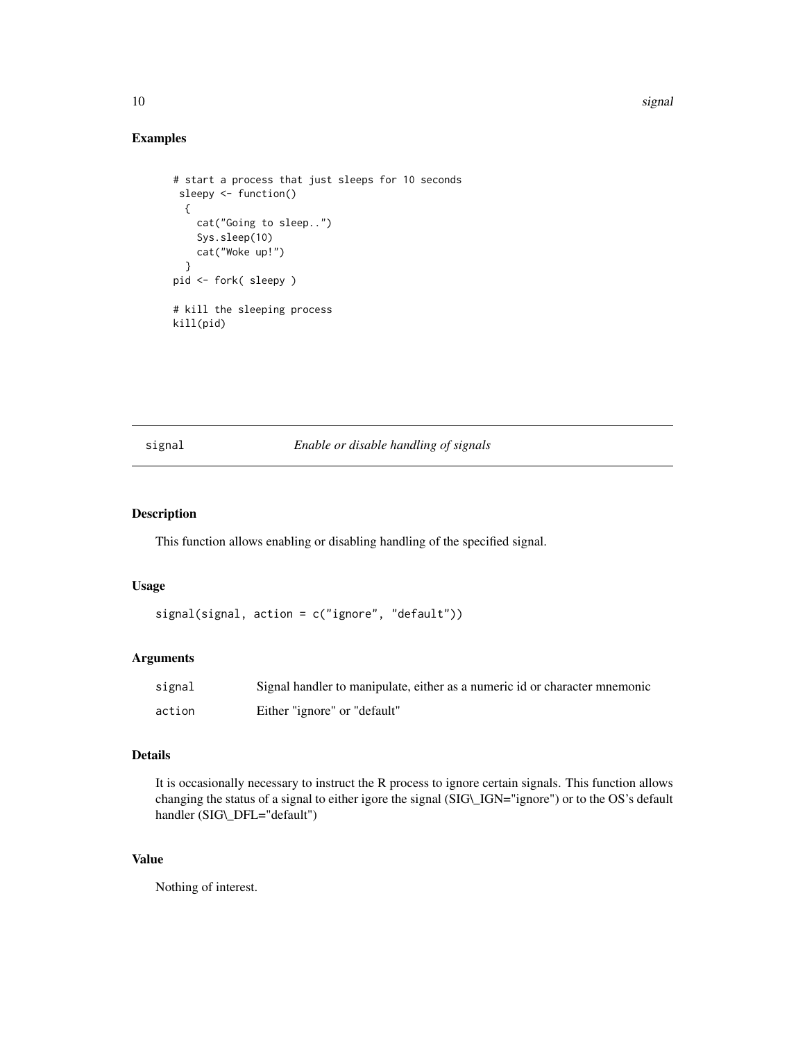#### Examples

```
# start a process that just sleeps for 10 seconds
 sleepy <- function()
  {
    cat("Going to sleep..")
    Sys.sleep(10)
    cat("Woke up!")
  }
pid <- fork( sleepy )
# kill the sleeping process
kill(pid)
```
#### <span id="page-9-1"></span>signal *Enable or disable handling of signals*

#### Description

This function allows enabling or disabling handling of the specified signal.

#### Usage

```
signal(signal, action = c("ignore", "default"))
```
#### Arguments

| signal | Signal handler to manipulate, either as a numeric id or character mnemonic |
|--------|----------------------------------------------------------------------------|
| action | Either "ignore" or "default"                                               |

#### Details

It is occasionally necessary to instruct the R process to ignore certain signals. This function allows changing the status of a signal to either igore the signal (SIG\\_IGN="ignore") or to the OS's default handler (SIG\\_DFL="default")

#### Value

Nothing of interest.

<span id="page-9-0"></span>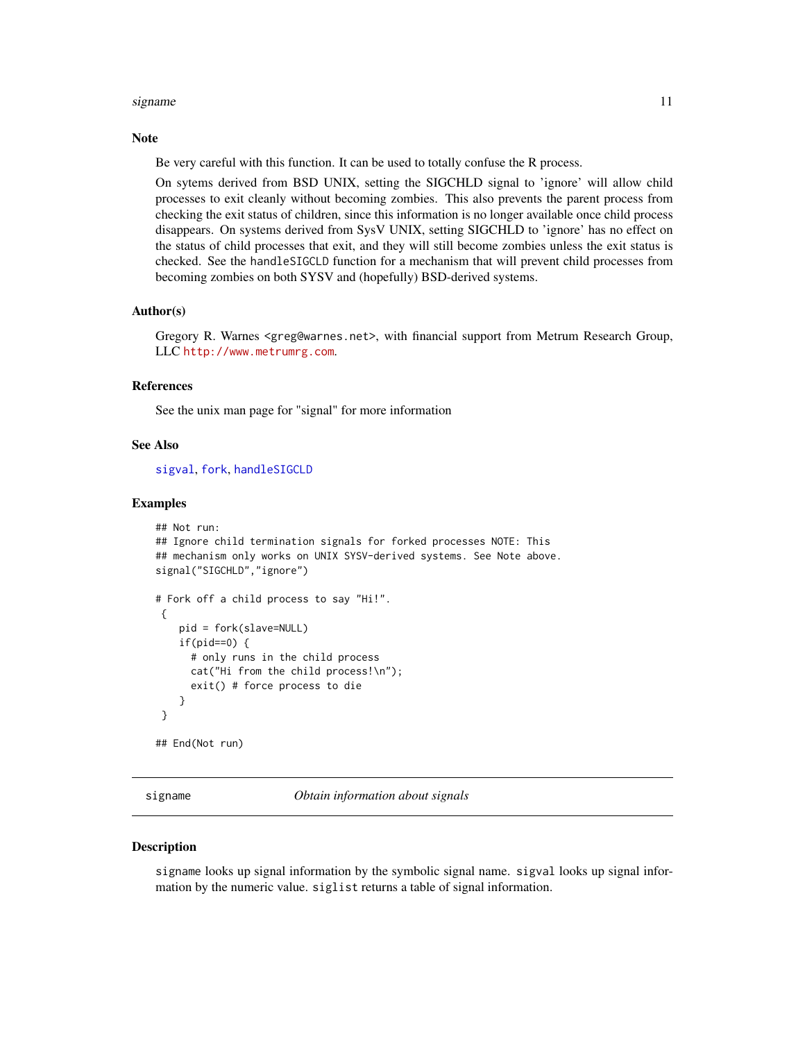#### <span id="page-10-0"></span>signame and the state of the state of the state of the state of the state of the state of the state of the state of the state of the state of the state of the state of the state of the state of the state of the state of th

#### Note

Be very careful with this function. It can be used to totally confuse the R process.

On sytems derived from BSD UNIX, setting the SIGCHLD signal to 'ignore' will allow child processes to exit cleanly without becoming zombies. This also prevents the parent process from checking the exit status of children, since this information is no longer available once child process disappears. On systems derived from SysV UNIX, setting SIGCHLD to 'ignore' has no effect on the status of child processes that exit, and they will still become zombies unless the exit status is checked. See the handleSIGCLD function for a mechanism that will prevent child processes from becoming zombies on both SYSV and (hopefully) BSD-derived systems.

#### Author(s)

Gregory R. Warnes <greg@warnes.net>, with financial support from Metrum Research Group, LLC <http://www.metrumrg.com>.

#### References

See the unix man page for "signal" for more information

#### See Also

[sigval](#page-10-1), [fork](#page-2-1), [handleSIGCLD](#page-6-1)

#### Examples

```
## Not run:
## Ignore child termination signals for forked processes NOTE: This
## mechanism only works on UNIX SYSV-derived systems. See Note above.
signal("SIGCHLD","ignore")
# Fork off a child process to say "Hi!".
 {
   pid = fork(slave=NULL)
    if(pid==0) {
      # only runs in the child process
      cat("Hi from the child process!\n");
      exit() # force process to die
    }
}
## End(Not run)
```
signame *Obtain information about signals*

#### <span id="page-10-1"></span>Description

signame looks up signal information by the symbolic signal name. sigval looks up signal information by the numeric value. siglist returns a table of signal information.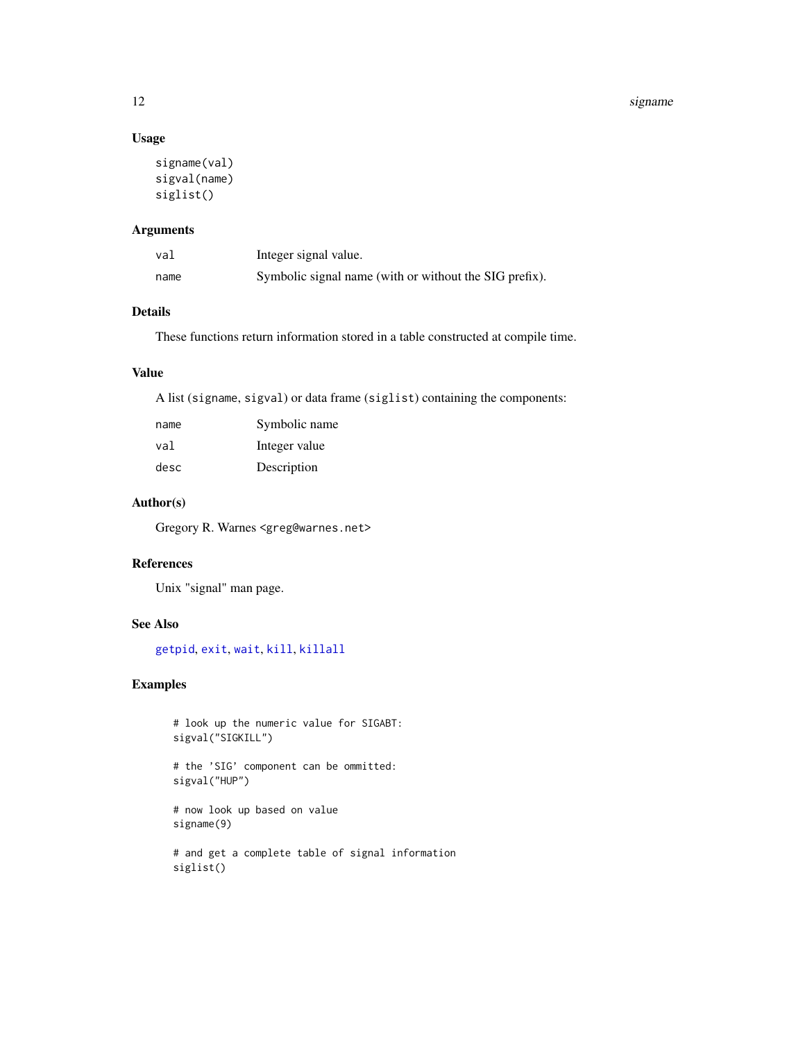#### <span id="page-11-0"></span>12 signame signame signame signame signame signame signame signame signame signame signame signame signame signame signame signame signame signame signame signame signame signame signame signame signame signame signame sig

#### Usage

```
signame(val)
sigval(name)
siglist()
```
#### Arguments

| val  | Integer signal value.                                  |
|------|--------------------------------------------------------|
| name | Symbolic signal name (with or without the SIG prefix). |

#### Details

These functions return information stored in a table constructed at compile time.

#### Value

A list (signame, sigval) or data frame (siglist) containing the components:

| name | Symbolic name |
|------|---------------|
| val  | Integer value |
| desc | Description   |

#### Author(s)

Gregory R. Warnes <greg@warnes.net>

#### References

Unix "signal" man page.

#### See Also

[getpid](#page-5-1), [exit](#page-1-1), [wait](#page-12-1), [kill](#page-8-1), [killall](#page-8-2)

#### Examples

```
# look up the numeric value for SIGABT:
sigval("SIGKILL")
# the 'SIG' component can be ommitted:
sigval("HUP")
# now look up based on value
signame(9)
# and get a complete table of signal information
siglist()
```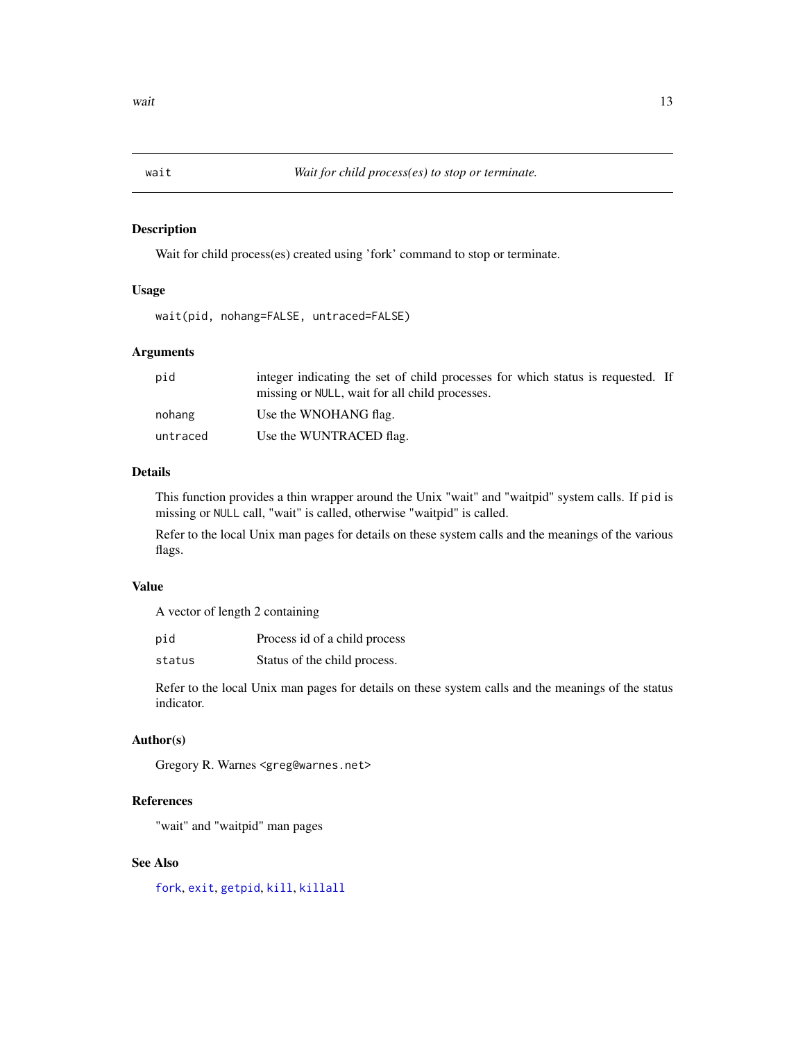<span id="page-12-1"></span><span id="page-12-0"></span>

#### Description

Wait for child process(es) created using 'fork' command to stop or terminate.

#### Usage

wait(pid, nohang=FALSE, untraced=FALSE)

#### Arguments

| pid      | integer indicating the set of child processes for which status is requested. If<br>missing or NULL, wait for all child processes. |
|----------|-----------------------------------------------------------------------------------------------------------------------------------|
| nohang   | Use the WNOHANG flag.                                                                                                             |
| untraced | Use the WUNTRACED flag.                                                                                                           |

#### Details

This function provides a thin wrapper around the Unix "wait" and "waitpid" system calls. If pid is missing or NULL call, "wait" is called, otherwise "waitpid" is called.

Refer to the local Unix man pages for details on these system calls and the meanings of the various flags.

#### Value

A vector of length 2 containing

| pid | Process id of a child process |  |
|-----|-------------------------------|--|
|-----|-------------------------------|--|

status Status of the child process.

Refer to the local Unix man pages for details on these system calls and the meanings of the status indicator.

#### Author(s)

Gregory R. Warnes <greg@warnes.net>

#### References

"wait" and "waitpid" man pages

#### See Also

[fork](#page-2-1), [exit](#page-1-1), [getpid](#page-5-1), [kill](#page-8-1), [killall](#page-8-2)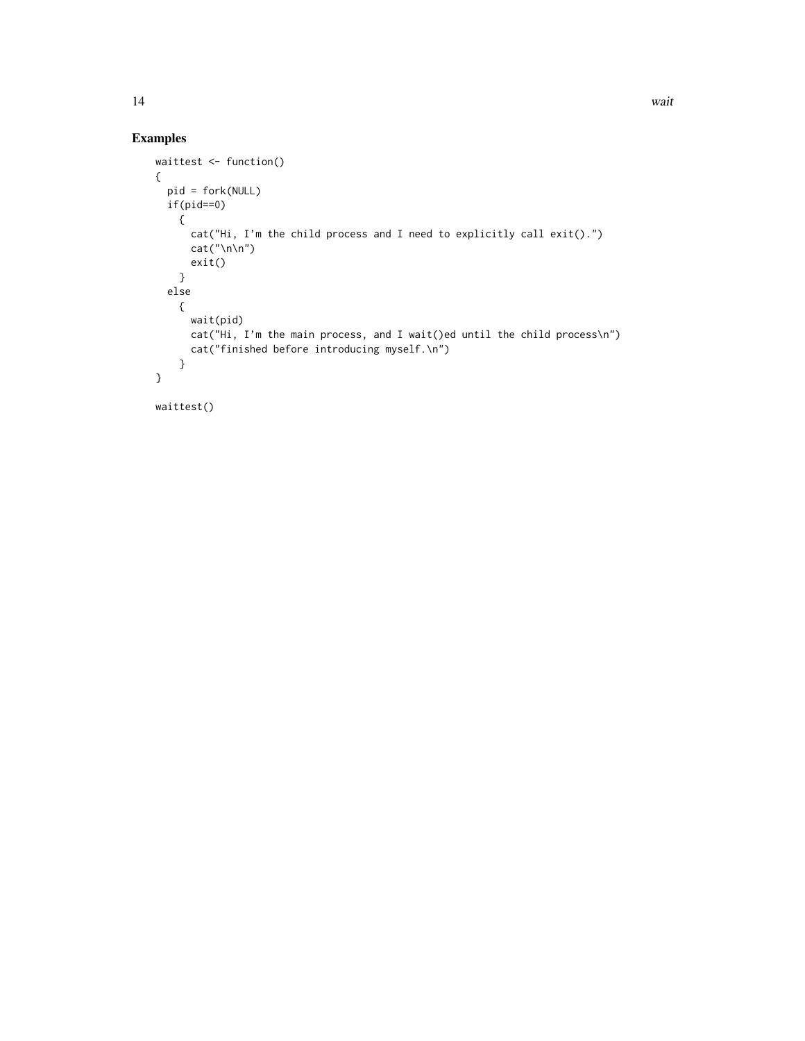#### Examples

```
waittest <- function()
{
  pid = fork(NULL)
  if(pid==0)
   {
     cat("Hi, I'm the child process and I need to explicitly call exit().")
     cat("\n\n")
     exit()
    }
  else
   {
     wait(pid)
     cat("Hi, I'm the main process, and I wait()ed until the child process\n")
     cat("finished before introducing myself.\n")
    }
}
waittest()
```